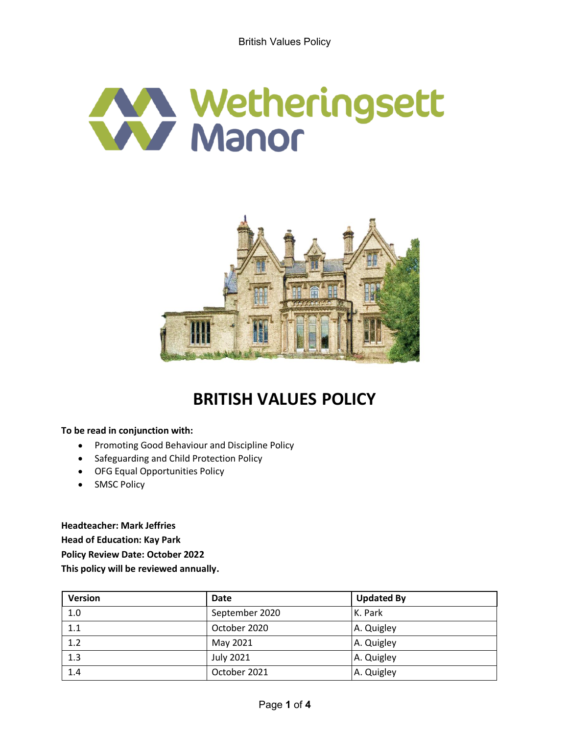



# **BRITISH VALUES POLICY**

**To be read in conjunction with:**

- $\bullet$ Promoting Good Behaviour and Discipline Policy
- $\bullet$ Safeguarding and Child Protection Policy
- OFG Equal Opportunities Policy
- SMSC Policy  $\bullet$

**Headteacher: Mark Jeffries Head of Education: Kay Park Policy Review Date: October 2022 This policy will be reviewed annually.**

| <b>Version</b> | Date             | <b>Updated By</b> |
|----------------|------------------|-------------------|
| 1.0            | September 2020   | K. Park           |
| 1.1            | October 2020     | A. Quigley        |
| 1.2            | May 2021         | A. Quigley        |
| 1.3            | <b>July 2021</b> | A. Quigley        |
| 1.4            | October 2021     | A. Quigley        |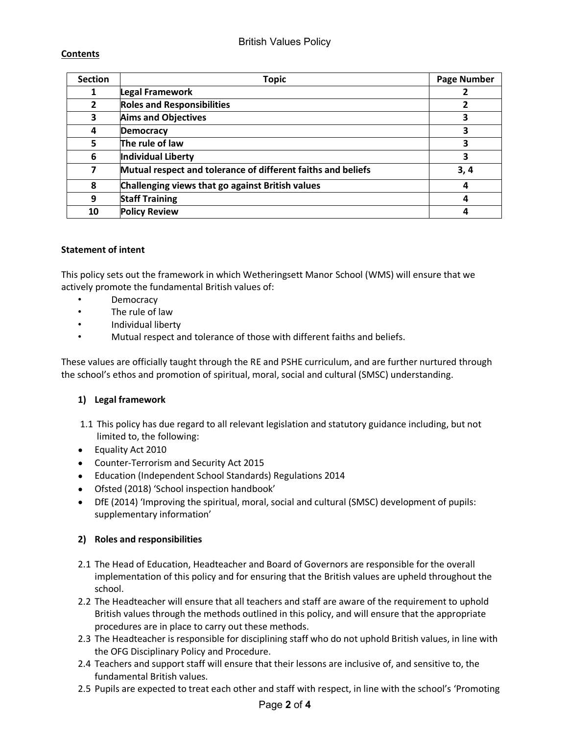## British Values Policy

#### **Contents**

| <b>Section</b> | <b>Topic</b>                                                 | <b>Page Number</b> |
|----------------|--------------------------------------------------------------|--------------------|
| 1              | Legal Framework                                              |                    |
| $\overline{2}$ | <b>Roles and Responsibilities</b>                            |                    |
| 3              | <b>Aims and Objectives</b>                                   | 3                  |
| 4              | <b>Democracy</b>                                             | 3                  |
| 5              | The rule of law                                              | 3                  |
| 6              | Individual Liberty                                           | 3                  |
| 7              | Mutual respect and tolerance of different faiths and beliefs | 3,4                |
| 8              | Challenging views that go against British values             | 4                  |
| 9              | <b>Staff Training</b>                                        |                    |
| 10             | <b>Policy Review</b>                                         |                    |

#### **Statement of intent**

This policy sets out the framework in which Wetheringsett Manor School (WMS) will ensure that we actively promote the fundamental British values of:

- Democracy
- The rule of law
- Individual liberty
- Mutual respect and tolerance of those with different faiths and beliefs.

These values are officially taught through the RE and PSHE curriculum, and are further nurtured through the school's ethos and promotion of spiritual, moral, social and cultural (SMSC) understanding.

#### **1) Legal framework**

- 1.1 This policy has due regard to all relevant legislation and statutory guidance including, but not limited to, the following:
- Equality Act 2010
- Counter-Terrorism and Security Act 2015
- Education (Independent School Standards) Regulations 2014
- Ofsted (2018) 'School inspection handbook'
- DfE (2014) 'Improving the spiritual, moral, social and cultural (SMSC) development of pupils: supplementary information'

#### **2) Roles and responsibilities**

- 2.1 The Head of Education, Headteacher and Board of Governors are responsible for the overall implementation of this policy and for ensuring that the British values are upheld throughout the school.
- 2.2 The Headteacher will ensure that all teachers and staff are aware of the requirement to uphold British values through the methods outlined in this policy, and will ensure that the appropriate procedures are in place to carry out these methods.
- 2.3 The Headteacher is responsible for disciplining staff who do not uphold British values, in line with the OFG Disciplinary Policy and Procedure.
- 2.4 Teachers and support staff will ensure that their lessons are inclusive of, and sensitive to, the fundamental British values.
- 2.5 Pupils are expected to treat each other and staff with respect, in line with the school's 'Promoting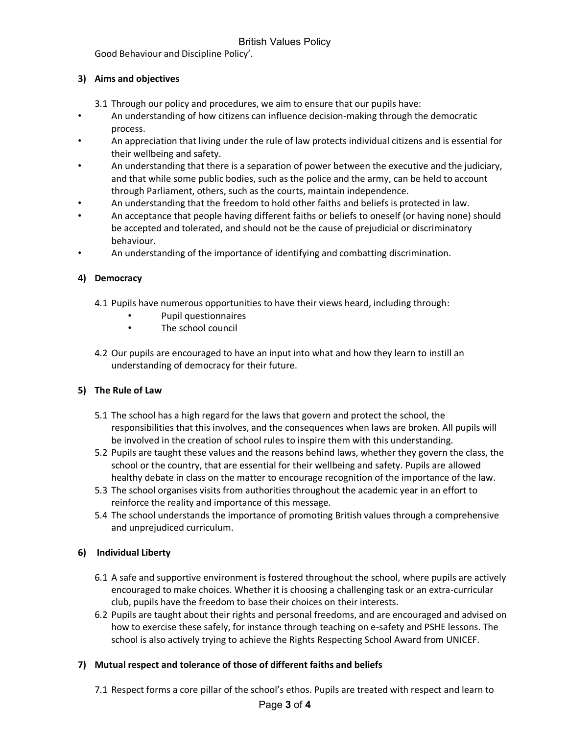Good Behaviour and Discipline Policy'.

### **3) Aims and objectives**

- 3.1 Through our policy and procedures, we aim to ensure that our pupils have:
- An understanding of how citizens can influence decision-making through the democratic process.
- An appreciation that living under the rule of law protects individual citizens and is essential for their wellbeing and safety.
- An understanding that there is a separation of power between the executive and the judiciary, and that while some public bodies, such as the police and the army, can be held to account through Parliament, others, such as the courts, maintain independence.
- An understanding that the freedom to hold other faiths and beliefs is protected in law.
- An acceptance that people having different faiths or beliefs to oneself (or having none) should be accepted and tolerated, and should not be the cause of prejudicial or discriminatory behaviour.
- An understanding of the importance of identifying and combatting discrimination.

#### **4) Democracy**

- 4.1 Pupils have numerous opportunities to have their views heard, including through:
	- Pupil questionnaires
	- The school council
- 4.2 Our pupils are encouraged to have an input into what and how they learn to instill an understanding of democracy for their future.

#### **5) The Rule of Law**

- 5.1 The school has a high regard for the laws that govern and protect the school, the responsibilities that this involves, and the consequences when laws are broken. All pupils will be involved in the creation of school rules to inspire them with this understanding.
- 5.2 Pupils are taught these values and the reasons behind laws, whether they govern the class, the school or the country, that are essential for their wellbeing and safety. Pupils are allowed healthy debate in class on the matter to encourage recognition of the importance of the law.
- 5.3 The school organises visits from authorities throughout the academic year in an effort to reinforce the reality and importance of this message.
- 5.4 The school understands the importance of promoting British values through a comprehensive and unprejudiced curriculum.

#### **6) Individual Liberty**

- 6.1 A safe and supportive environment is fostered throughout the school, where pupils are actively encouraged to make choices. Whether it is choosing a challenging task or an extra-curricular club, pupils have the freedom to base their choices on their interests.
- 6.2 Pupils are taught about their rights and personal freedoms, and are encouraged and advised on how to exercise these safely, for instance through teaching on e-safety and PSHE lessons. The school is also actively trying to achieve the Rights Respecting School Award from UNICEF.

#### **7) Mutual respect and tolerance of those of different faiths and beliefs**

7.1 Respect forms a core pillar of the school's ethos. Pupils are treated with respect and learn to